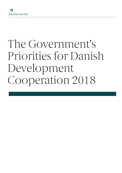# The Government's Priorities for Danish Development Cooperation 2018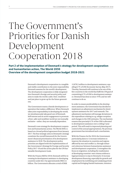# The Government's Priorities for Danish Development Cooperation 2018

**Part 2 of the implementation of Denmark's strategy for development cooperation and humanitarian action, The World 2030 Overview of the development cooperation budget 2018-2021** 

> Denmark's development cooperation is a tangible and visible contribution to the joint responsibility Denmark assumes for the world's development. The development cooperation is fully integrated into Denmark's foreign and security policy and aims to make the world a safer, freer, wealthier and just place to grow up for the future generations.

> The Government wants a Danish development cooperation that makes a difference. When Denmark takes joint responsibility in developing the world, we simultaneously take good care of Denmark. Self-interest and an active engagement to promote a freer, safer and wealthier world are not mutually exclusive – rather, they are mutually dependent.

> Denmark's new strategy for development cooperation and humanitarian action, The World 2030, is based on a broad political agreement from January 2017. The four strategic aims in Denmark's strategy constitute the overall framework for the Government's financial prioritisation of its development assistance in 2018. The development policy priorities are aligned with the implementation of the Government's Strategy for Foreign and Security Policy 2017-18 and the action plan for the UN Sustainable Development Goals.

> With the Finance Bill for 2018, Denmark will be increasing its development assistance to developing countries under §6.3. by approximately DKK 2.6 billion. The Government allocates a total of DKK

15,878.2 million to development assistance, equalling 0.7% of GNI (Economic Survey, May 2017). Thereby, Denmark will continue to be one of the few countries in the world that fulfil the UN goal of committing 0.7% of GNI to development assistance. Denmark has done so since 1978, and we will continue to do so.

In order to ensure predictability in the development assistance, the Government has decided to implement an adjustment mechanism for development assistance for 2017 and onwards. The adjustment mechanism will manage deviations in the expenditure relating to e.g. refugee reception and changes in the GNI estimates. The mechanism ensures that precisely 0.7% of the GNI is allocated to development assistance over a rolling 3-year period. This will result in improved planning and control of the annual appropriations. No previous government has introduced such a mechanism.

With the Finance Act for 2018, the Government particularly plans to 1) increase initiatives to improve the situation in countries and regions affected by war and conflict i.a. through enhanced coherence between humanitarian assistance and development cooperation, 2) strengthen the focus on migration, including the readmission of developing countries' own citizens without a legal permission to stay in Denmark, 3) increase development financing, especially for growth and employment by mobilising and catalysing private capital and bringing Danish businesses, investors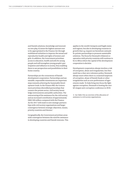and Danish solutions, knowledge and innovation into play, 4) invest the highest amount ever to be appropriated in the Finance Act through multilateral initiatives to improve the sexual and reproductive health and rights of women and girls. In addition, the Government prioritises access to education, health and jobs for young people and will strengthen young people's participation and influence in society, thus enabling them to see perspectives and possibilities in their home country.

Partnerships are the cornerstone of Danish development cooperation. Partnerships and sustainable, responsible investments are important steps towards achieving the Sustainable Development Goals. In the Finance Bill, the Government prioritises diversified partnerships that connect the private sector, civil society, knowledge environments and public authorities. The restructuring of the assistance for the civil society and an increased contribution of approximately DKK 240 million compared with the Finance Act for 2017 will result in new strategic partnerships with civil society organisations and larger convergence between strategic objectives, means, priority countries and themes.<sup>1</sup>

Geographically, the Government prioritises areas with convergence between the need for assistance in developing countries and Danish interests. This applies in the world's hotspots and fragile states and regions, but also in developing countries in growth that e.g. request our knowhow and public-private partnerships to promote sustainable solutions. The focus for Denmark's bilateral cooperation with priority countries will continue to be in Africa where the capital of the development cooperation is decisive.

Development cooperation always involves a risk of corruption, abuse and irregularities, but Denmark has a clear zero-tolerance policy. Denmark always reacts when there is a reasoned suspicion of corruption, abuse of Danish funds or other irregularities such as non-performance of agreements made. To help bring into focus the fight against corruption, Denmark is hosting the world's largest anti-corruption conference in 2018.

1) See Table 3 for an overview of the allocation of assistance to civil society organisations.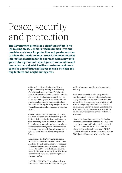## Peace, security and protection

**The Government prioritises a significant effort in neighbouring areas. Denmark rescues human lives and provides assistance for protection and greater resistance where the needs are most crucial. Denmark receives international acclaim for its approach with a new integrated strategy for both development cooperation and humanitarian aid, which will ensure better and more cohesive and effective initiatives in crisis-stricken and fragile states and neighbouring areas.** 

> Millions of people are displaced and live in camps or temporary housing in their country of origin or neighbouring areas. The aim is for them to return to their home countries and cities when the conflicts have ended, or to integrate in the neighbouring area. In the meantime, the international community must assist the local communities hosting the many refugees to ensure reasonable conditions for refugees and displaced persons.

The Government has unambiguously prioritised that Denmark assumes its share of the responsibility for initiatives and action in the neighbouring areas. By slowing down the influx to Denmark, financial resources are released from expenditure for the reception of refugees in Denmark. Instead the resources can be used directly in countries and regions affected by crises where they go much further.

In the Finance Bill, the Government allocates DKK 2,500 million to Denmark's humanitarian aid. This is the highest amount ever to be appropriated in the Finance Act, an increase from the Finance Act for 2017 of DKK 125 million, and a clear reflection of the continued prioritisation of Denmark's initiatives in neighbouring areas of crisis and conflict.

In addition, DKK 150 million is allocated to protection and development initiatives for refugees and local host communities in Lebanon, Jordan and Iraq.

The Government will continue to prioritise contributions aimed at obtaining a stabilisation of fragile situations in the world's hotspots such as Iraq, Syria, Sahel and the Horn of Africa as well as aimed at fighting radicalisation and violent extremism. As a concrete example, the Peace and Stabilisation Fund is increased to a total of DKK 325 million, financed through the development assistance.

Denmark will continue to support the Danish-Arab Partnership Programme and the Neighbourhood Programme for Ukraine and Georgia with DKK 200 million and DKK 160 million, respectively, each year. In addition, an extra DKK 15 million is allocated to secondment of Danes to the OSCE Special Monitoring Mission to Ukraine.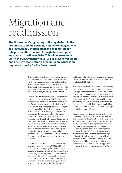# Migration and readmission

**The Government's tightening of the regulations in the asylum area and the declining number of refugees who seek asylum in Denmark cause the expenditure for refugee reception financed through the development assistance to decline in 2018. This will release funds, which the Government will i.a. use to prevent migration and intensify cooperation on readmission, which is an important priority for the Government.**

> The migration crisis has, in no uncertain terms, demonstrated that the development in Europe's neighbouring areas and large parts of Africa has an increasing influence on our part of the world. The migration pressure continues and is expected to increase in the years to come as a consequence of the population growth especially in Africa.

> Everyone must have the freedom to create a future for herself/himself and her/his family in their home country. Therefore, it is a main priority for the Government to enhance its initiatives in the migration area by managing the irregular migration to Europe. These initiatives comprise 1) direct action in response to the irregular migration, e.g. obstructing the business model of the human traffickers, 2) fighting root causes of irregular migration, e.g. through job creation, 3) promoting conditions that make it possible to return rejected asylum seekers. The Danish contribution will, to a great degree, be made through the EU and with other member states, including i.a. the implementation of the EU's new strategy for development cooperation – The European Consensus – that ties development, migration and readmission closer together.

> In 2017, the Government launches new readmission initiatives and allocates DKK 50 million for use in relevant developing countries to which Denmark have persons that need to return. A new increased grant of DKK 75 million is included in the Finance Bill for 2018 for migration management and cooperation on return initiatives. The Government's migration initiatives, which have a broader purpose as well, i.a. fighting human

trafficking and working with fundamental causes, constitute DKK 50 million in the Finance Bill. A total of DKK 125 million.

The Government will allocate DKK 300 million to the EU-Turkey Facility. The purpose of the facility is to support the management of the high amount of asylum seekers and refugees from Syria who are staying in Turkey. Denmark will continue to focus its resources on the EU's country-specific packages encompassing assistance to partner countries to enable them to fulfil their international obligations to readmit their own citizens without a legal permission to stay in Europe.

Denmark also prioritises migration in the cooperation with the United Nations, the World Bank and other relevant organisations in the migration area. This results i.a. in a new annual contribution of DKK 25 million in development assistance to the International Organization for Migration, which plays a central role in specific migration initiatives including help to migrants who wish to return to their home country, and in the preparation of a UN migration agreement, which is expected to be adopted in September 2018. The Government will give priority to initiatives that create synergies with other Danish-supported initiatives in the migration area, e.g. in the Sahel region.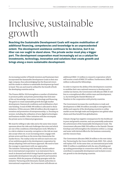# Inclusive, sustainable growth

**Reaching the Sustainable Development Goals will require mobilisation of additional financing, competencies and knowledge to an unprecedented extent. The development assistance continues to be decisive, but it neither can nor ought to stand alone. The private sector must play a bigger part. The development cooperation must increasingly act as a catalyst for investments, technology, innovation and solutions that create growth and brings along a more sustainable development.** 

An increasing number of Danish investors and businesses have incorporated the Sustainable Development Goals in their strategic compass, thus acknowledging that the financial return and the results in relation to sustainable development go hand in hand. This can and must be utilised for the benefit of both the developing countries and us.

The Finance Bill for 2018 strengthens a number of initiatives to promote public and private partnerships that link stateof-the-art knowledge, innovation, technology and financing. The goal is to create sustainable growth through market development, framework conditions and mobilisation of private funding. A total of DKK 490 million is allocated to these initiatives. Of this amount, DKK 60 million directly targets innovation and promotion of entrepreneurship, i.a. focusing on women, including the utilisation of new digital technologies and business models. Other initiatives will also encompass the private sector in bilateral programmes.

We must be willing to take risks and at the same time ensure openness about the risks and challenges that arise and which are one of the conditions of development work. Whether it is a risk in relation to security, corruption or the risk we must also accept when we, to an increasing extent, engage with private actors and thus on the terms that characterise the market forces. The reality is that we will not reach even one of our ambitious goals in the development cooperation by always adopting a belt-and-braces approach. We need to have the courage to experiment with our approaches. The initiative 'Partnering with Denmark, Danish authorities in international cooperation' is an instrument that is much in demand and which brings Danish experience with sustainable development into play in growth and transition countries. With the purpose of utilising synergies with the initiative 'Partnering with Denmark, Danish authorities in international cooperation', the Government will allocate an

additional DKK 115 million to research cooperation which will receive a total of DKK 225 million. Furthermore, DKK 45 million is allocated for fellowships.

In order to improve the ability of the development countries to mobilise their own national resources to develop and to combat tax havens, the Government will allocate DKK 35 million to a strengthened effort within taxes and development, i.a. by involving the Danish Ministry of Taxation in the cooperation with priority countries.

The Government increases the contribution to trade and development to DKK 50 million annually to strengthen the ability and capacity of the developing countries to utilise market access through trade and integration into global value chains and thus benefit from globalisation.

Climate change has negative consequences for the livelihood in poor and growth countries, and can potentially undermine the achievement of the Sustainable Development Goals. The Government allocates DKK 350 million to the Danish Climate Envelope and will strengthen the initiatives within i.a. energy and water with derived effects for the business community and the resource base.

The Government allocates DKK 20 million to the new initiative 'Partnering for the Green Global Goals 2030', P4G, which will replace 3GF. At the same time, an international pool with DKK 25 million is established with the aim of building and up-scaling partnerships in connection with P4G, which may contribute to sustainable development and inclusive economic growth in the developing countries.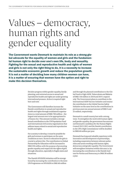# Values – democracy, human rights and gender equality

**The Government wants Denmark to maintain its role as a strong global advocate for the equality of women and girls and the fundamental human right to decide over one's own life, body and sexuality. Fighting for the sexual and reproductive health and rights of women and girls is not only the right thing to do, it is a necessity to increase the sustainable economic growth and reduce the population growth. It is not a matter of deciding how many children women can have, it is a matter of ensuring that women have the option and right to make this decision themselves.** 

> Decisive progress within gender equality, family planning, and universal access to sexual and reproductive health and rights are under growing international pressure. Action is required right here and now.

The Government will therefore increase the Danish contribution to sexual and reproductive health and rights through multilateral organisations to a total amount of DKK 700 million – the largest total amount ever to be appropriated in a Finance Act. This amount includes a strengthened contribution to the UN Population Fund and international civil society organisations that address issues related to sexual and reproductive health and rights.

For a society to develop, it must be possible for girls and women to participate on the same conditions as men. Access to education for girls is crucial to achieve this. The contribution to Global Partnership for Education will be increased to DKK 250 million with the purpose of promoting gender equality and respect for the rights of girls through education, especially in fragile states and situations.

The Danish HIV/AIDS initiatives will be strengthened by increasing the contribution to the Joint UN Programme on HIV/AIDS to DKK 40 million

and through the planned contribution to the Global Fund to Fight AIDS, Tuberculosis and Malaria of DKK 150 million in 2018 and 2019, respectively. The Government plans to contribute to the International AIDS Vaccine Initiative and resume the contribution to the Global Vaccine Safety Initiative on the same level as the contributions in previous years (an annual amount of DKK 5 and 25 million, respectively).

Denmark is a small country but with a strong voice. To strengthen the work with human rights and gender equality, the government has announced Denmark's candidacy for the Human Rights Council 2019-2021 and the Danish contribution to the UN's High Commissioner will be doubled to DKK 60 million per year.

Denmark has long and valuable experience with innovation and development of partnerships, including cooperation between relevant authorities and actors working with human rights, democracy and gender equality. The Government will strengthen initiatives within this area i.a. by increasing the contribution to the Danish Institute for Parties and Democracy to DKK 30 million a year.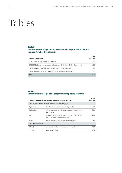# Tables

#### **Table 1: Contributions through multilateral channels to promote sexual and reproductive health and rights**

| <b>Finance Act Account</b>                                                         | 2018<br>(DKK m) |
|------------------------------------------------------------------------------------|-----------------|
| 06.36.03.10 UN Population Fund (UNFPA)                                             | 350             |
| 06.36.03.11 Sexual and reproductive health and rights through global civil society | 160             |
| 06.36.03.14 Joint UN Programme on HIV/AIDS (UNAIDS) and others                     | 40              |
| 06.36.03.16 The Global Fund to Fight Aids, Tuberculosis and Malaria                | 150             |
| <b>Total</b>                                                                       | 700             |

#### **Table 2: Commitments to large-scale programmes in priority countries**

|                         | Commitments to large-scale programmes in priority countries                                  | 2018<br>(DKK m) |
|-------------------------|----------------------------------------------------------------------------------------------|-----------------|
|                         | Poor, fragile countries and regions characterised by fragility:                              |                 |
| Afghanistan             | Fund for the reconstruction of Afghanistan                                                   | 300             |
| Burkina Faso            | Water and sanitation, development contract and good<br>governance                            | 300             |
| Mali                    | Peace and reconciliation, good governance and private<br>sector development and job creation | 504.5           |
| Niger                   | Water and democracy, stability and migration                                                 | 85              |
| Poor, stable countries: |                                                                                              |                 |
| Ethiopia                | Job creation in the farming sector and resilience                                            | 250             |
| Uganda                  | Good governance                                                                              | 225             |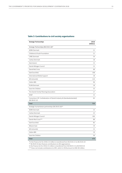| <b>Strategic Partnerships</b>                                                            | 2018<br>(DKKm) |
|------------------------------------------------------------------------------------------|----------------|
| Strategic Partnerships (06.33.01.10)*                                                    |                |
| <b>ADRA Denmark</b>                                                                      | 21             |
| Childrens & Youth Foundation                                                             | 21             |
| <b>CARE Denmark</b>                                                                      | 54             |
| Caritas Denmark                                                                          | 18             |
| Danmission                                                                               | 15             |
| Danish Refugee Council                                                                   | 15             |
| Dansk Red Cross                                                                          | 68             |
| DanChurchAid                                                                             | 108            |
| International Media Support                                                              | 18             |
| <b>MS ActionAid</b>                                                                      | 124            |
| Oxfam IBIS                                                                               | 96             |
| <b>PLAN Denmark</b>                                                                      | 18             |
| Save the Children                                                                        | 53             |
| The Danish Family Planning Association                                                   | 17             |
| <b>WWF</b>                                                                               | 15             |
| Consortium (3F. Confederation of Danish Industry & Ulandssekretariatet)<br>(06.38.02.12) | 65             |
| <b>Total</b>                                                                             | 726            |
| Strategic humanitarian partnerships (06.39.03.10)**                                      |                |
| <b>ADRA Denmark</b>                                                                      | 15             |
| Caritas Denmark                                                                          | 22             |
| Danish Refugee Council                                                                   | 160            |
| Danish Red Cross***                                                                      | 88             |
| DanChurchAid                                                                             | 85             |
| <b>Mission East</b>                                                                      | 19             |
| <b>MS ActionAid</b>                                                                      | 15             |
| Oxfam IBIS                                                                               | 19             |
| Save the Children                                                                        | 56             |
| <b>Total</b>                                                                             | 479            |

\*In the Finance Act for 2018, 5.4 million is transferred from 06.33.01.11 to 06.33.01.10 \*\* 06.39.03.10 also finances contributions to UN organisations.

In the Finance Act for 2018, 4.5 million is transferred from 06.39.03.11 to 06.39.03.10

\*\*\* Does not include contributions to ICRC, which in 2018 amount to DKK 40 million.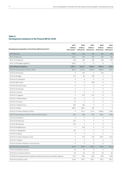### **Table 4: Development assistance in the Finance Bill for 2018**

| Development cooperation on the Finance Bill Account § 6.3                           | 2017<br>(DKKm)<br>2017-prices** 2018-prices 2018-prices | 2018<br>(DKKm.)  | 2019<br>(DKKm.) | 2020<br>(DKKm)<br>2018-prices | 2021<br>(DKKm.)<br>2018-prices |
|-------------------------------------------------------------------------------------|---------------------------------------------------------|------------------|-----------------|-------------------------------|--------------------------------|
| 06.31 Reserves                                                                      | $-230.2$                                                | 100              | 100             | 100                           | 100                            |
| 06.31.79 Reserves                                                                   | $-230.2$                                                | 100              | 100             | 100                           | 100                            |
| 06.31.79.10 Reserve                                                                 | 100                                                     | 100              | 100             | 100                           | 100                            |
| 06.31.79.20 Budget regulation                                                       | $-330.2$                                                | 0                | $\mathbf 0$     | 0                             | $\mathbf{0}$                   |
| 06.32 Bilateral assistance                                                          | 2,667.7                                                 | 3,951.7          | 3,642.9         | 3,687.5                       | 3,963                          |
| 06.32.01 Developing countries in Africa                                             | 855.5                                                   | 1,713.2          | 2,093.5         | 1,836.5                       | 1,411                          |
| 06.32.01.05 Ethiopia                                                                | 5                                                       | 255              | 5               | 130                           | 5                              |
| 06.32.01.06 Niger                                                                   | 175                                                     | 85               | 100             | $\mathbf 0$                   | $\mathbf{0}$                   |
| 06.32.01.07 Zimbabwe                                                                | $\mathbf 0$                                             | $\mathbf 0$      | $\mathbf{0}$    | $\mathbf 0$                   | $\mathbf 0$                    |
| 06.32.01.08 Somalia                                                                 | $\mathbf 0$                                             | $\mathbf 0$      | 500             | $\overline{0}$                | $\mathbf{0}$                   |
| 06.32.01.09 South Sudan                                                             | $\mathbf 0$                                             | $\overline{0}$   | $\mathbf 0$     | $\mathbf 0$                   | $\mathbf 0$                    |
| 06.32.01.10 Tanzania                                                                | 5                                                       | 5                | 5               | 5                             | 5                              |
| 06.32.01.11 Kenya                                                                   | $\mathbf 0$                                             | $\overline{0}$   | 0               | $\mathbf 0$                   | $\mathbf 0$                    |
| 06.32.01.12 Uganda                                                                  | 5                                                       | 225              | 525             | $\mathbf 0$                   | $\mathbf 0$                    |
| 06.32.01.13 Mozambique                                                              | 10                                                      | $\mathbf{0}$     | $\mathbf{0}$    | $\overline{0}$                | $\mathbf{0}$                   |
| 06.32.01.15 Ghana                                                                   | 75                                                      | $\Omega$         | $\mathbf{0}$    | $\overline{0}$                | $\mathbf 0$                    |
| 06.32.01.17 Burkina Faso                                                            | 300                                                     | 300              | $\overline{0}$  | $\overline{0}$                | $\mathbf 0$                    |
| 06.32.01.20 Mali                                                                    | 280.5                                                   | 509.5            | 185             | 5                             | 5                              |
| 06.32.01.23 Other initiatives in Africa                                             | $\mathbf 0$                                             | 333.7            | 773.5           | 1,696.5                       | 1,396                          |
| 06.32.02 Developing countries in Asia and Latin America                             | 625                                                     | 490              | 160             | 439.7                         | 1,160                          |
| 06.32.02.04 Pakistan                                                                | $\mathbf{0}$                                            | $\boldsymbol{0}$ | $\mathbf 0$     | $\boldsymbol{0}$              | $\mathbf 0$                    |
| 06.32.02.05 Myanmar                                                                 | 235                                                     | 5                | 5               | 5                             | 5                              |
| 06.32.02.08 Palestine                                                               | 250                                                     | $\overline{0}$   | $\mathbf 0$     | $\overline{0}$                | $\mathbf 0$                    |
| 06.32.02.09 Afghanistan                                                             | 5                                                       | 330              | $\mathbf 0$     | $\boldsymbol{0}$              | $\mathbf 0$                    |
| 06.32.02.11 Bangladesh                                                              | 135                                                     | 5                | 5               | 5                             | 5                              |
| 06.32.02.12 Nepal                                                                   | $\mathbf 0$                                             | 0                | $\mathbf 0$     | $\mathbf 0$                   | $\mathbf 0$                    |
| 06.32.02.15 Other initiatives in Asia                                               | $\boldsymbol{0}$                                        | 150              | 150             | 429.7                         | 1,150                          |
| 06.32.02.17 Bolivia                                                                 | $\mathbf 0$                                             | $\mathbf{0}$     | $\mathbf 0$     | $\boldsymbol{0}$              | $\mathbf 0$                    |
| 06.32.02.18 Other initiatives in Latin America                                      | $\mathbf 0$                                             | $\mathbf 0$      | $\mathbf 0$     | $\boldsymbol{0}$              | $\overline{0}$                 |
| 06.32.04 Technical assistance                                                       | 263.7                                                   | 276.9            | 262.9           | 262.9                         | 262.9                          |
| 06.32.04.10 Bilateral advisors                                                      | 10                                                      | 20               | 6               | 6                             | 6                              |
| 06.32.04.12 Company advisors                                                        | 40                                                      | 40               | 40              | 40                            | 40                             |
| 06.32.04.14 IT, property, travel, competence development and communication expenses | 94.3                                                    | 96.8             | 96.8            | 96.8                          | 96.8                           |
| 06.32.04.15 Advisory units                                                          | 119.4                                                   | 120.1            | 120.1           | 120.1                         | 120.1                          |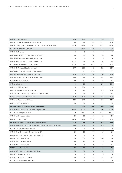| ٦ |  |
|---|--|
|   |  |
|   |  |

| 06.32.07 Loan assistance                                                       | $-68.6$        | $-65.8$      | $-56.4$      | $-43.8$             | $-15.1$        |
|--------------------------------------------------------------------------------|----------------|--------------|--------------|---------------------|----------------|
| 06.32.07.14 Debt relief for developing countries                               | 16             | 19.4         | 22.9         | 26.4                | 35.5           |
| 06.32.07.15 Repayment on government loans to developing countries              | $-84.6$        | $-85.2$      | $-79.3$      | $-70.2$             | $-50.6$        |
| 06.32.08 Other bilateral assistance                                            | 632.1          | 727.4        | 672.9        | 682.2               | 634.2          |
| 06.32.08.02 Reserves                                                           | $\mathbf 0$    | $\mathbf 0$  | $\mathbf 0$  | $\mathbf 0$         | $\mathbf 0$    |
| 06.32.08.40 Dignity - Danish Institute Against Torture                         | 48             | 48           | 48           | 48                  | 48             |
| 06.32.08.50 Danish-Arab Partnership Programme                                  | $\mathbf{0}$   | $\mathbf{0}$ | $\mathbf{0}$ | $\mathbf 0$         | $\mathbf{0}$   |
| 06.32.08.60 Stabilisation and conflict prevention                              | 111.2          | 65           | 65           | 65                  | 65             |
| 06.32.08.70 Democracy and human rights                                         | 166.7          | 260.2        | 205.7        | 215                 | 167            |
| 06.32.08.80 Peace and Stabilisation fund                                       | 277            | 325          | 325          | 325                 | 325            |
| 06.32.08.90 The Danish Institute for Human Rights                              | 29.2           | 29.2         | 29.2         | 29.2                | 29.2           |
| 06.32.09 Danish-Arab Partnership Programme                                     | 200            | 200          | 200          | 200                 | 200            |
| 06.32.09.10 Danish-Arab Partnership contributions                              | 160            | 155          | 155          | 155                 | 155            |
| 06.32.09.20 Other initiatives                                                  | 40             | 45           | 45           | 45                  | 45             |
| 06.32.10 Migration                                                             | $\overline{0}$ | 450          | 150          | 150                 | 150            |
| 06.32.10.12 EU-Turkey Facility                                                 | $\mathbf{0}$   | 300          | $\mathbf 0$  | 0                   | $\mathbf{0}$   |
| 06.32.10.13 Migration and readmission                                          | $\mathbf{0}$   | 125          | 125          | 125                 | 125            |
| 06.32.10.14 International Organisation for Migration (IOM)                     | $\mathbf{0}$   | 25           | 25           | 25                  | 25             |
| 06.32.11 Neighbourhood Programme                                               | 160            | 160          | 160          | 160                 | 160            |
| 06.32.11.10 Programme initiatives                                              | 130            | 140          | 140          | 140                 | 140            |
| 06.32.11.20 Other initiatives                                                  | 30             | 20           | 20           | 20                  | 20             |
| 06.33 Assistance through civil society organisations                           | 740.2          | 1,000        | 1,000        | 1,000               | 1,000          |
| 06.33.01 Assistance through civil society organisations                        | 740.2          | 1,000        | 1,000        | 1,000               | 1,000          |
| 06.33.01.10 Strategic Partnerships                                             | 537.9          | 720.6        | 720.6        | 720.6               | 720.6          |
| 06.33.01.11 Strategic initiatives                                              | 20             | 20           | 20           | 20                  | 20             |
| 06.33.01.12 Pool schemes                                                       | 182.3          | 259.4        | 259.4        | 259.4               | 259.4          |
| 06.34 Natural resources, energy and climate changes                            | 320            | 544          | 370          | 370                 | 406            |
| 06.34.01 Natural resources, energy and climate changes in developing countries | 320            | 544          | 370          | 370                 | 406            |
| 06.34.01.30 Climate Investment Fund                                            | $\mathbf 0$    | $\mathbf 0$  | 0            | $\mathbf{0}$        | $\mathbf 0$    |
| 06.34.01.50 UN Environment Programme (UNEP)                                    | 10             | 10           | 10           | 10                  | 10             |
| 06.34.01.60 The Global Environment Facility (GEF)                              | $\mathbf 0$    | 150          | $\mathbf 0$  | $\boldsymbol{0}$    | $\mathbf 0$    |
| 06.34.01.70 Climate Envelope                                                   | 300            | 350          | 350          | 350                 | 350            |
| 06.34.01.80 Other contributions                                                | 10             | 10           | 10           | 10                  | 10             |
| 06.34.01.90 The Ozone Fund                                                     | $\mathbf 0$    | 24           | $\mathbf 0$  | $\boldsymbol{0}$    | 36             |
| 06.35 Information activities                                                   | 63             | 55           | 58           | 55                  | 74             |
| 06.35.01 Information activities in Denmark etc.                                | 63             | 55           | 58           | 55                  | 74             |
| 06.35.01.11 Research activities                                                | $\overline{0}$ | $\mathbf 0$  | $\mathbf{0}$ | $\boldsymbol{0}$    | $\overline{0}$ |
| 06.35.01.13 Information activities                                             | 40             | 28           | 31           | 28                  | 47             |
| 06.35.01.14 Cultural cooperation (CKU)                                         | $\mathbf 0$    | $\circ$      | $\mathbf 0$  | $\mathsf{O}\xspace$ | $\mathbf 0$    |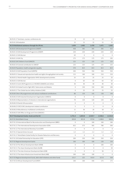| 06.35.01.17 Seminars, courses, conferences etc.                                    | 8            | 12             | 12          | 12                  | 12             |
|------------------------------------------------------------------------------------|--------------|----------------|-------------|---------------------|----------------|
| 06.35.01.18 Evaluation                                                             | 15           | 15             | 15          | 15                  | 15             |
| 06.36 Multilateral assistance through the UN etc.                                  | 1,039        | 1,492          | 1,478       | 1,471               | 1,502          |
| 06.36.01 UN Development Programme (UNDP)                                           | 458          | 395            | 395         | 395                 | 415            |
| 06.36.01.10 UN Development Programme (UNDP)                                        | 220          | 220            | 220         | 220                 | 220            |
| 06.36.01.12 UN Women                                                               | 63           | $\mathbf{0}$   | $\mathbf 0$ | $\mathbf 0$         | $\mathbf{0}$   |
| 06.36.01.14 UN City                                                                | 175          | 175            | 175         | 175                 | 195            |
| 06.36.02 UN Children's Fund (UNICEF)                                               | 125          | 125            | 125         | 125                 | 125            |
| 06.36.02.10 General contribution to UNICEF                                         | 125          | 125            | 125         | 125                 | 125            |
| 06.36.03 Population, health and gender equality                                    | 370          | 813            | 813         | 813                 | 813            |
| 06.36.03.10 UN Population Fund (UNFPA)                                             | 200          | 350            | 350         | 350                 | 350            |
| 06.36.03.11 Sexual and reproductive health and rights through global civil society | 115          | 160            | 160         | 210                 | 210            |
| 06.36.03.12 World Health Organization WHO development activities                   | 25           | 25             | 25          | 25                  | 25             |
| 06.36.03.13 UN Women                                                               | $\mathbf{0}$ | 63             | 63          | 63                  | 63             |
| 06.36.03.14 Joint UN Programme on HIV/AIDS (UNAIDS) and others                     | 30           | 40             | 40          | 40                  | 40             |
| 06.36.03.16 Global Fund to Fight AIDS, Tuberculosis and Malaria                    | 0            | 150            | 150         | 100                 | 100            |
| 06.36.03.17 The Global Vaccine Safety Initiative (GAVI)                            | 0            | 25             | 25          | 25                  | 25             |
| 06.36.06 Other UN programmes and various multilateral contributions                | 86           | 159            | 145         | 138                 | 149            |
| 06.36.06.10 UN Industrial Development Organisation (UNIDO)                         | $\mathbf{0}$ | $\overline{0}$ | $\mathbf 0$ | 0                   | $\mathbf{0}$   |
| 06.36.06.16 Representation of interests in international organisations             | 70           | 120            | 120         | 120                 | 120            |
| 06.36.06.19 Danish UN association                                                  | $\mathbf{0}$ | $\mathbf{0}$   | $\mathbf 0$ | $\mathbf{0}$        | $\mathbf 0$    |
| 06.36.06.23 OECD-DAC development related contribution                              | 5            | 3              | 5           | $\mathbf 0$         | 8              |
| 06.36.06.24 Miscellaneous multilateral contributions                               | 11           | 36             | 20          | 18                  | 21             |
| 06.36.06.25 UN Office on Drugs and Crime (UNODC)                                   | $\mathbf 0$  | $\mathbf{0}$   | $\mathbf 0$ | $\mathbf 0$         | $\overline{0}$ |
| 06.37 Development banks, funds and the EU                                          | 1,731.4      | 1,843.8        | 2,329.7     | 2,346.6             | 2,116.8        |
| 06.37.01 World Bank Group                                                          | 820.8        | 821.8          | 973.8       | 1,188.8             | 908.8          |
| 06.37.01.10 International Bank for Reconstruction and Development (IBRD)           | $\mathbf 0$  | $\mathbf{0}$   | 160         | 160                 | 160            |
| 06.37.01.11 The International Development Association (IDA)                        | 622          | 573            | 565         | 780                 | 500            |
| 06.37.01.12 The International Monetary Fund (IMF)                                  | 0            | 0              | 0           | 0                   | 0              |
| 06.37.01.15 Special Action Account                                                 | $-1.2$       | $-1.2$         | $-1.2$      | $-1.2$              | $-1.2$         |
| 06.37.01.17 World Bank Global Facility for Disaster Reduction and Recovery         | 0            | $\mathbf{0}$   | $\mathbf 0$ | $\mathsf{O}\xspace$ | $\mathbf 0$    |
| 06.37.01.18 Global Partnership for Education (GPE)                                 | 200          | 250            | 250         | 250                 | 250            |
| 06.37.02 Regional development banks                                                | 100          | 100            | 100         | 130                 | 150            |
| 06.37.02.10 The African Development Bank (AfDB)                                    | $\mathbf 0$  | $\overline{0}$ | $\mathbf 0$ | 100                 | 100            |
| 06.37.02.11 The Asian Development Bank (AsDB)                                      | 0            | $\mathbf 0$    | $\mathbf 0$ | 0                   | 50             |
| 06.37.02.12 The Inter-American Development Bank (IDB)                              | 0            | $\mathbf 0$    | $\mathbf 0$ | 30                  | 0              |
| 06.37.02.13 The Asian Infrastructure Investment Bank (AIIB)                        | 100          | 100            | 100         | 0                   | $\mathbf 0$    |
| 06.37.03 Regional development funds, debt relief initiatives and other funds       | 215.7        | 222            | 555.9       | 327.8               | 358            |
| 06.37.03.10 African Development Fund (AfDF)                                        | 100          | 100            | 430         | 175                 | 175            |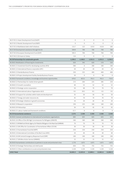| 06.37.03.11 Asian Development Fund (AsDF)                                              | $\mathbf 0$  | $\mathbf 0$  | 0                | $\mathbf{0}$ | 0              |
|----------------------------------------------------------------------------------------|--------------|--------------|------------------|--------------|----------------|
| 06.37.03.13 Nordic Development Fund (NDF)                                              | $\mathbf{0}$ | $\mathbf 0$  | $\mathbf{0}$     | $\mathbf{0}$ | $\overline{0}$ |
| 06.37.03.14 Multilateral debt relief initiatives                                       | 115.7        | 122          | 125.9            | 152.8        | 183            |
| 06.37.04 Development assistance through the EU                                         | 594.9        | 700          | 700              | 700          | 700            |
| 06.37.04.10 European Development Fund (EDF)                                            | 595.3        | 700          | 700              | 700          | 700            |
| 06.37.04.11 EU loans to Turkey                                                         | $-0.4$       | $\mathbf{0}$ | $\boldsymbol{0}$ | $\mathbf 0$  | $\mathbf{0}$   |
| 06.38 Partnerships for sustainable growth                                              | 1,299.2      | 1,168.5      | 1,321.5          | 1,331.5      | 1,230.5        |
| 06.38.01 Mobilisation of financing for investments                                     | 620          | 345          | 620              | 570          | 520            |
| 06.38.01.11 Investment fund for developing countries (IFU)                             | 300          | $\mathbf{0}$ | 200              | 100          | 100            |
| 06.38.01.12 International finance corporation (IFC)                                    | 20           | 20           | 20               | 20           | 20             |
| 06.38.01.13 Danida Business Finance                                                    | 250          | 325          | 400              | 400          | 400            |
| 06.38.01.14 Project development facility Danida Business Finance                       | 50           | $\mathbf 0$  | $\boldsymbol{0}$ | 50           | $\mathbf 0$    |
| 06.38.02 Framework conditions, knowledge and business opportunities                    | 679.2        | 823.5        | 701.5            | 761.5        | 710.5          |
| 06.38.02.12 Partnerships for market driven growth                                      | 172          | 264          | 225              | 285          | 234            |
| 06.38.02.13 Growth counsellors                                                         | 40           | 52           | 52               | 52           | 52             |
| 06.38.02.14 Strategic sector cooperation                                               | 50           | 68           | 70               | 70           | 70             |
| 06.38.02.15 International Labour Organisation (ILO)                                    | 9.5          | 29.5         | 9.5              | 9.5          | 9.5            |
| 06.38.02.16 Support for activities within trade and development                        | 35           | 50           | 50               | 50           | 50             |
| 06.38.02.17 Energy and water resources etc.                                            | 45           | 70           | 70               | 70           | 70             |
| 06.38.02.18 Strategic initiatives in growth economies                                  | 10           | 20           | 20               | 20           | 20             |
| 06.38.02.19 Research cooperation                                                       | 230          | 225          | 160              | 160          | 160            |
| 06.38.02.20 Fellowships                                                                | 30           | 45           | 45               | 45           | 45             |
| 06.38.02.21 Labour market and framework conditions                                     | 57.7         | $\mathbf{0}$ | $\mathbf{0}$     | $\mathbf{0}$ | $\mathbf 0$    |
| 06.39 Humanitarian assistance                                                          | 2,375        | 2,500        | 2,500            | 2,500        | 2,500          |
| 06.39.01 General contributions to international humanitarian organisations             | 605          | 625          | 625              | 625          | 625            |
| 06.39.01.10 Office of the UN High Commissioner for Refugees (UNHCR)                    | 160          | 160          | 160              | 160          | 160            |
| 06.39.01.11 UN Relief and Works Agency for Palestine Refugees in the Near East (UNRWA) | 70           | 70           | 70               | 70           | 70             |
| 06.39.01.12 UN Office for Coordination of Humanitarian Affairs (OCHA)                  | 30           | 30           | 30               | 30           | 30             |
| 06.39.01.13 Humanitarian Food Aid (WFP)                                                | 210          | 210          | 210              | 210          | 210            |
| 06.39.01.14 International Committee of the Red Cross (ICRC)                            | 20           | 40           | 40               | 40           | 40             |
| 06.39.01.16 UN Central Emergency Response Fund (CERF)                                  | 100          | 100          | 100              | 100          | 100            |
| 06.39.01.17 UN Mine Action Service (UNMAS)                                             | 15           | 15           | 15               | 15           | 15             |
| 06.39.03 Humanitarian contributions to partners in acute and protracted crises         | 1,770        | 1,875        | 1,875            | 1,875        | 1,875          |
| 06.39.03.10 Strategic Partnerships and relief pools                                    | 650          | 755          | 755              | 755          | 755            |
| 06.39.03.11 Other contributions to acute and protracted crises                         | 1,120        | 1,120        | 1,120            | 1,120        | 1,120          |
| § 06.3 Total                                                                           | 10,005.3     | 12,655.0     | 12,800.1         | 12,861.6     | 12,892.3       |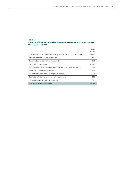#### **Table 5: Estimate of Denmark's total development assistance in 2018 according to the OECD/DAC rules**

|                                                                                  | 2018<br>(DKK m) |
|----------------------------------------------------------------------------------|-----------------|
| Development cooperation with developing countries (Finance Act Account § 6.3)    | 12,655.0        |
| Administration of development cooperation                                        | 730.0           |
| Danish Institute for International Studies (DIIS)                                | 21.6            |
| EU development assistance                                                        | 1.345.0         |
| Parts of international activities delivered by the police and the Danish defence | 30.1            |
| Share of UN peacekeeping operations                                              | 20.3            |
| Expenditure for the reception of refugees in Denmark                             | 965.3           |
| Distribution of lottery funds to non-profit organisations                        | 14.9            |
| Other (contributions to UN organisations etc.)                                   | 96.0            |
| <b>Total Danish development assistance</b>                                       | 15,878.2        |